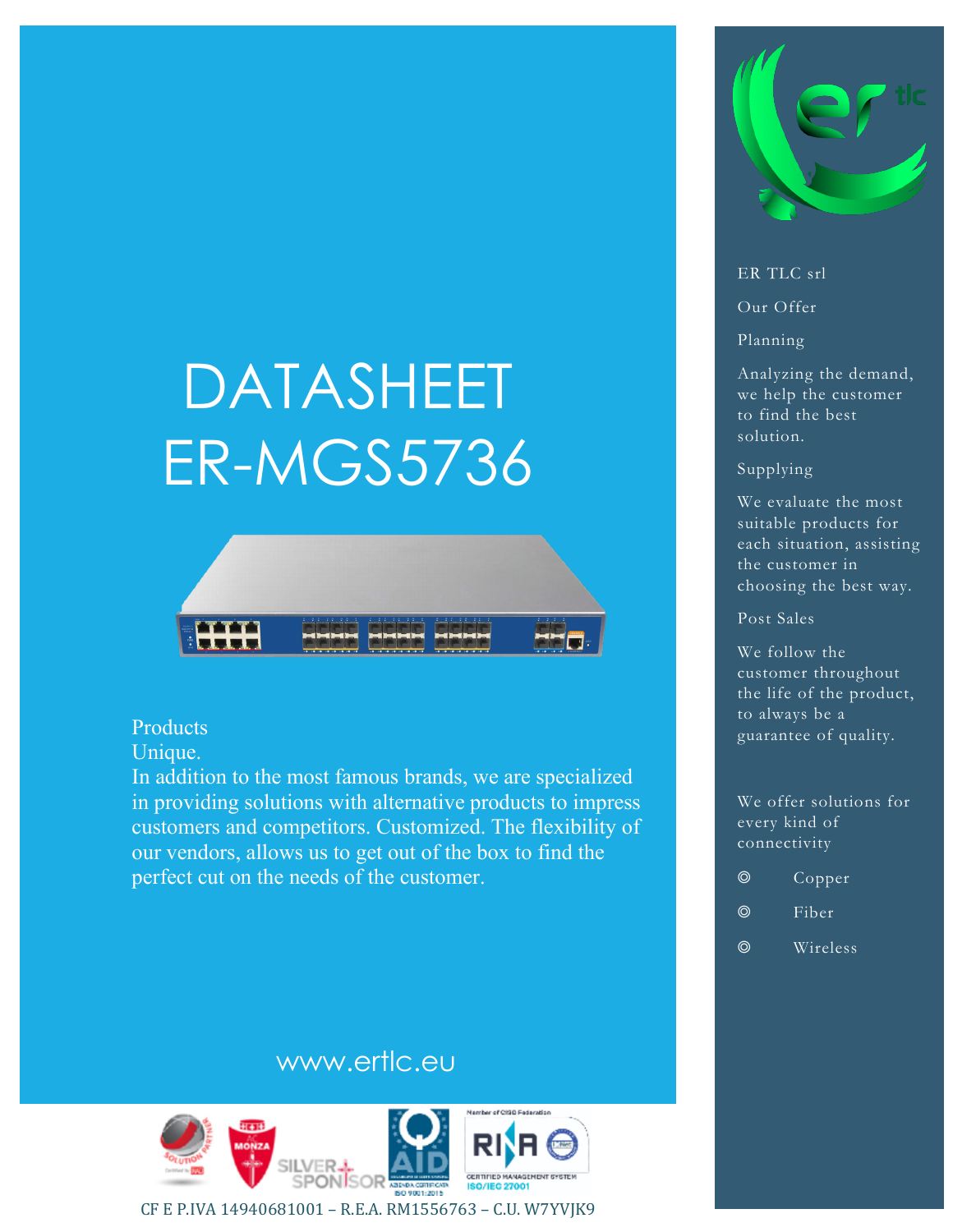# DATASHEET ER-MGS5736



#### Products

Unique.

In addition to the most famous brands, we are specialized in providing solutions with alternative products to impress customers and competitors. Customized. The flexibility of our vendors, allows us to get out of the box to find the perfect cut on the needs of the customer.

#### ER TLC srl

Our Offer

Planning

Analyzing the demand, we help the customer to find the best solution.

#### Supplying

We evaluate the most suitable products for each situation, assisting the customer in choosing the best way.

Post Sales

We follow the customer throughout the life of the product, to always be a guarantee of quality.

We offer solutions for every kind of connectivity

- ◎ Copper
- ◎ Fiber
- ◎ Wireless

### www.ertlc.eu



CF E P.IVA 14940681001 – R.E.A. RM1556763 – C.U. W7YVJK9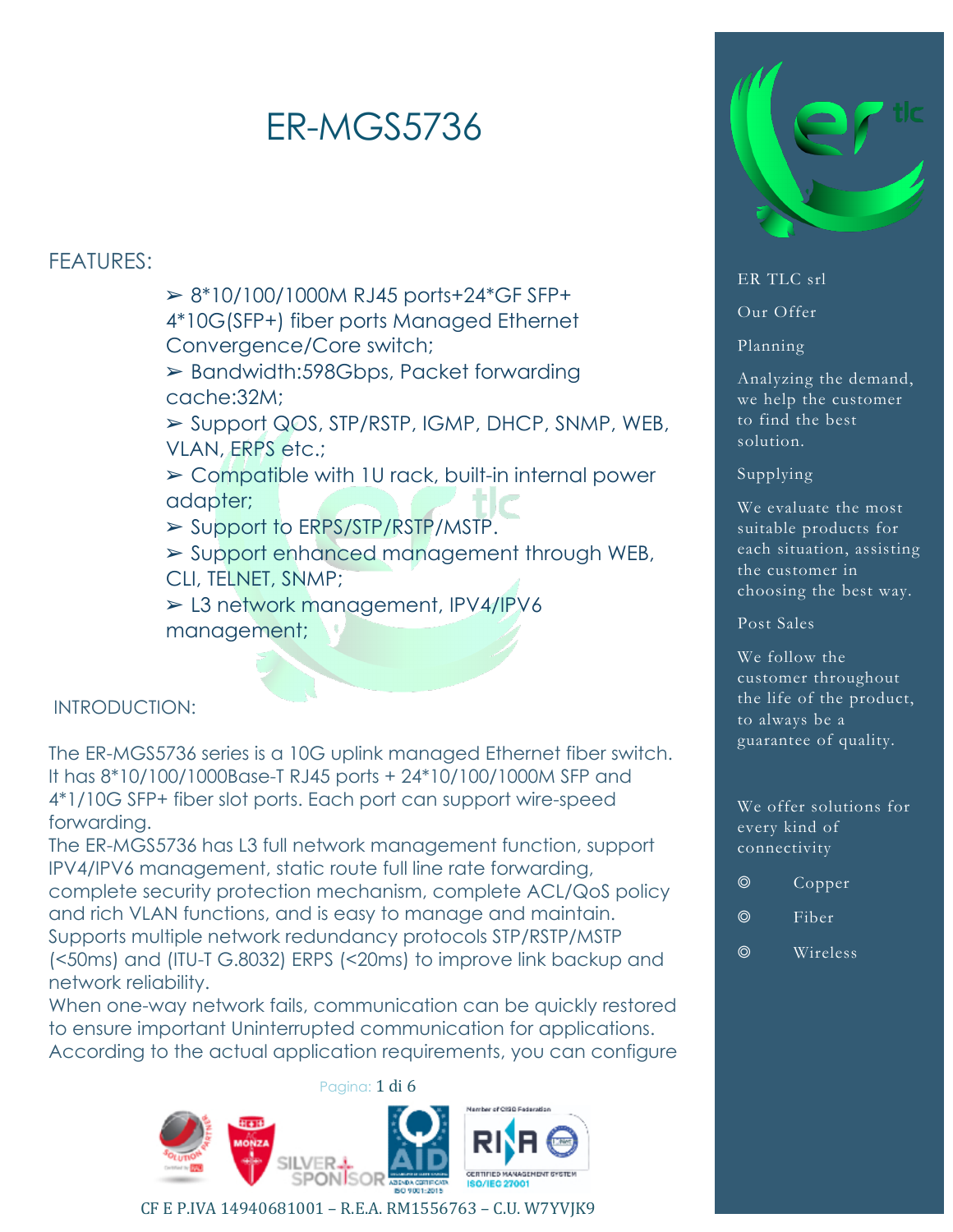## ER-MGS5736

#### FEATURES:

 $> 8*10/100/1000M$  RJ45 ports+24\*GF SFP+ 4\*10G(SFP+) fiber ports Managed Ethernet Convergence/Core switch;

➢ Bandwidth:598Gbps, Packet forwarding cache:32M;

➢ Support QOS, STP/RSTP, IGMP, DHCP, SNMP, WEB, VLAN, ERPS etc.;

➢ Compatible with 1U rack, built-in internal power adapter;

➢ Support to ERPS/STP/RSTP/MSTP.

➢ Support enhanced management through WEB, CLI, TELNET, SNMP;

➢ L3 network management, IPV4/IPV6 management;

#### INTRODUCTION:

The ER-MGS5736 series is a 10G uplink managed Ethernet fiber switch. It has 8\*10/100/1000Base-T RJ45 ports + 24\*10/100/1000M SFP and 4\*1/10G SFP+ fiber slot ports. Each port can support wire-speed forwarding.

The ER-MGS5736 has L3 full network management function, support IPV4/IPV6 management, static route full line rate forwarding, complete security protection mechanism, complete ACL/QoS policy and rich VLAN functions, and is easy to manage and maintain. Supports multiple network redundancy protocols STP/RSTP/MSTP (<50ms) and (ITU-T G.8032) ERPS (<20ms) to improve link backup and network reliability.

When one-way network fails, communication can be quickly restored to ensure important Uninterrupted communication for applications. According to the actual application requirements, you can configure



#### CF E P.IVA 14940681001 – R.E.A. RM1556763 – C.U. W7YVJK9



#### ER TLC srl

Our Offer

#### Planning

Analyzing the demand, we help the customer to find the best solution.

#### Supplying

We evaluate the most suitable products for each situation, assisting the customer in choosing the best way.

#### Post Sales

We follow the customer throughout the life of the product, to always be a guarantee of quality.

- ◎ Copper
- ◎ Fiber
- ◎ Wireless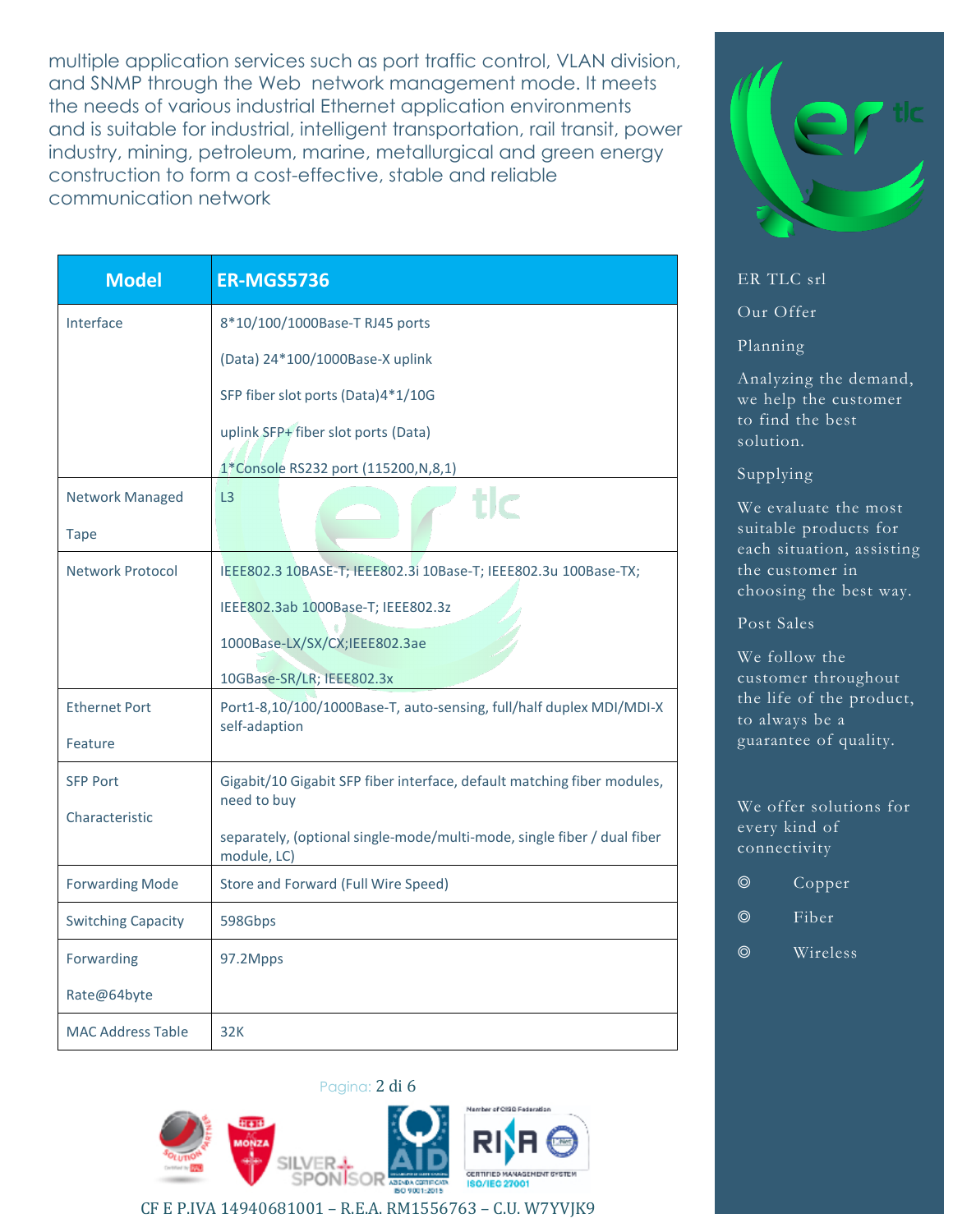multiple application services such as port traffic control, VLAN division, and SNMP through the Web network management mode. It meets the needs of various industrial Ethernet application environments and is suitable for industrial, intelligent transportation, rail transit, power industry, mining, petroleum, marine, metallurgical and green energy construction to form a cost-effective, stable and reliable communication network





ER TLC srl

Our Offer

Planning

Analyzing the demand, we help the customer to find the best solution.

#### Supplying

We evaluate the most suitable products for each situation, assisting the customer in choosing the best way.

Post Sales

We follow the customer throughout the life of the product, to always be a guarantee of quality.

- ◎ Copper
- ◎ Fiber
- ◎ Wireless

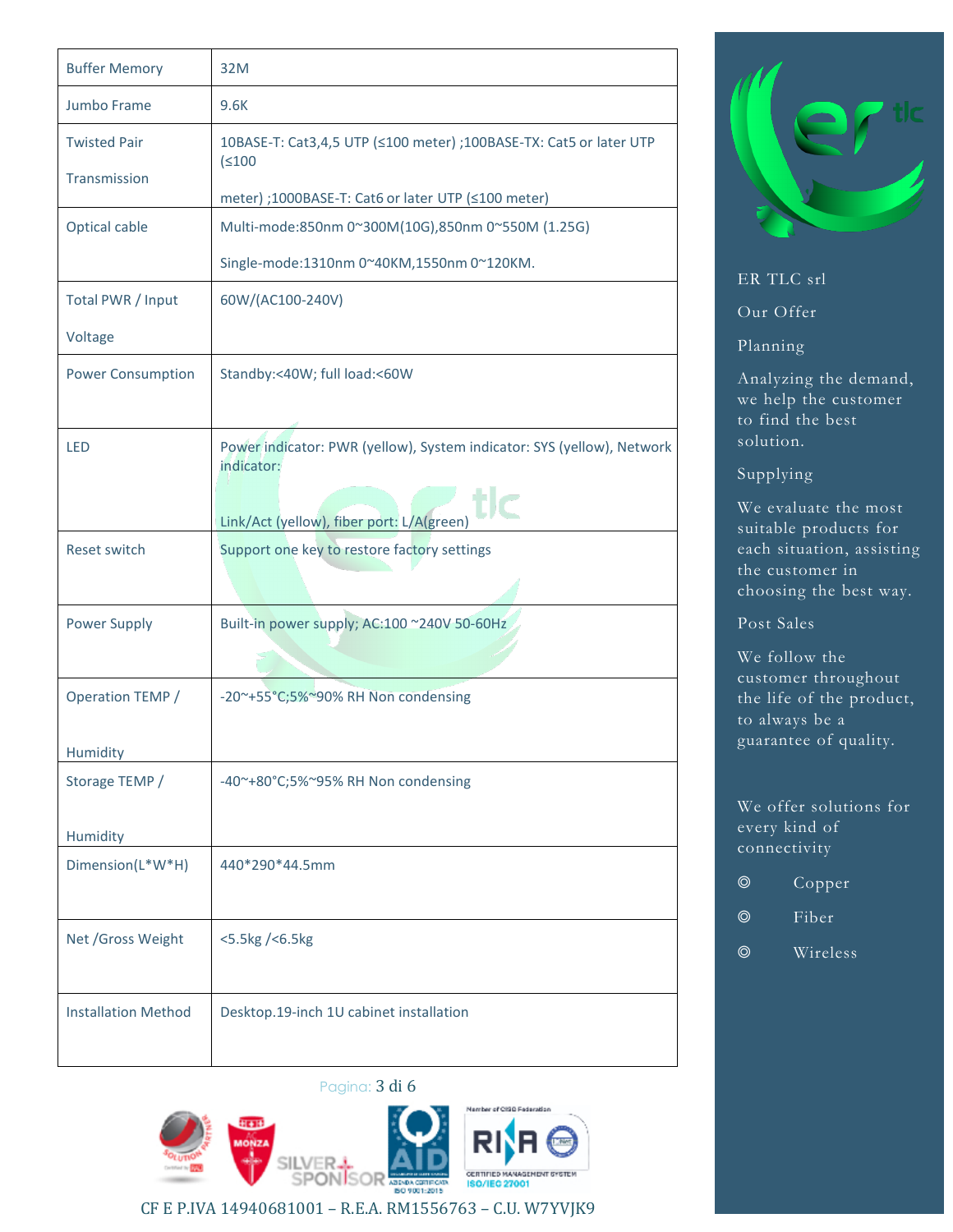| <b>Buffer Memory</b>                | 32M                                                                                                                               |
|-------------------------------------|-----------------------------------------------------------------------------------------------------------------------------------|
| Jumbo Frame                         | 9.6K                                                                                                                              |
| <b>Twisted Pair</b><br>Transmission | 10BASE-T: Cat3,4,5 UTP (≤100 meter) ;100BASE-TX: Cat5 or later UTP<br>(≤100<br>meter) ;1000BASE-T: Cat6 or later UTP (≤100 meter) |
| Optical cable                       | Multi-mode:850nm 0~300M(10G),850nm 0~550M (1.25G)                                                                                 |
|                                     | Single-mode:1310nm 0~40KM,1550nm 0~120KM.                                                                                         |
| Total PWR / Input<br>Voltage        | 60W/(AC100-240V)                                                                                                                  |
| <b>Power Consumption</b>            | Standby:<40W; full load:<60W                                                                                                      |
| <b>LED</b>                          | Power indicator: PWR (yellow), System indicator: SYS (yellow), Network<br>indicator:<br>Link/Act (yellow), fiber port: L/A(green) |
| <b>Reset switch</b>                 | Support one key to restore factory settings                                                                                       |
| <b>Power Supply</b>                 | Built-in power supply; AC:100 ~240V 50-60Hz                                                                                       |
| Operation TEMP /                    | -20~+55°C;5%~90% RH Non condensing                                                                                                |
| Humidity                            |                                                                                                                                   |
| Storage TEMP /                      | -40~+80°C;5%~95% RH Non condensing                                                                                                |
| Humidity                            |                                                                                                                                   |
| Dimension(L*W*H)                    | 440*290*44.5mm                                                                                                                    |
| Net /Gross Weight                   | <5.5kg /<6.5kg                                                                                                                    |
| <b>Installation Method</b>          | Desktop.19-inch 1U cabinet installation                                                                                           |



#### ER TLC srl

Our Offer

Planning

Analyzing the demand, we help the customer to find the best solution.

#### Supplying

We evaluate the most suitable products for each situation, assisting the customer in choosing the best way.

#### Post Sales

We follow the customer throughout the life of the product, to always be a guarantee of quality.

#### We offer solutions for every kind of connectivity

- ◎ Copper
- ◎ Fiber
- ◎ Wireless

Pagina: 3 di 6



CF E P.IVA 14940681001 – R.E.A. RM1556763 – C.U. W7YVJK9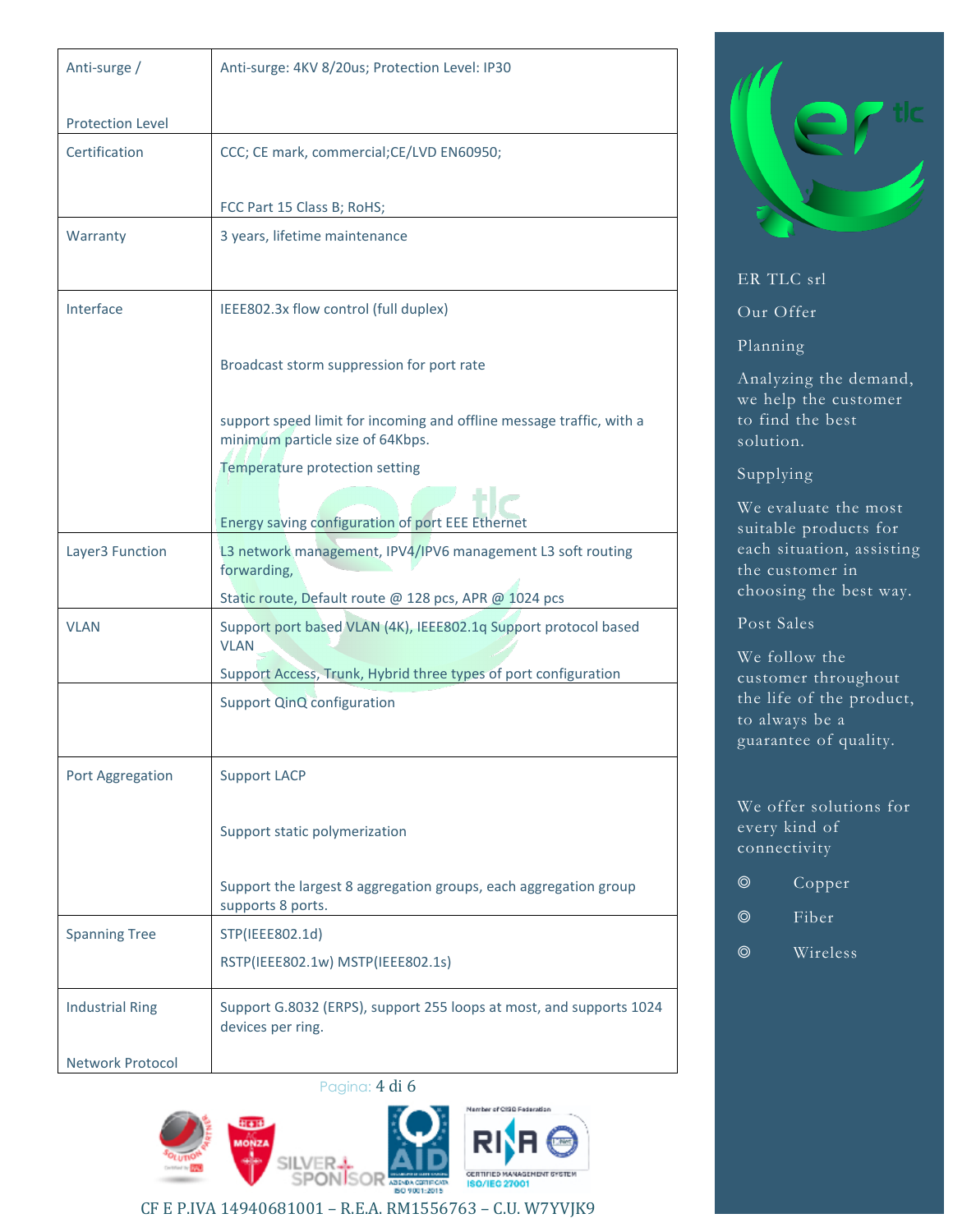| CCC; CE mark, commercial; CE/LVD EN60950;<br>FCC Part 15 Class B; RoHS;<br>3 years, lifetime maintenance<br>IEEE802.3x flow control (full duplex)<br>Broadcast storm suppression for port rate<br>support speed limit for incoming and offline message traffic, with a<br>minimum particle size of 64Kbps.<br>Temperature protection setting<br>Energy saving configuration of port EEE Ethernet<br>L3 network management, IPV4/IPV6 management L3 soft routing<br>forwarding,<br>Static route, Default route @ 128 pcs, APR @ 1024 pcs<br>Support port based VLAN (4K), IEEE802.1q Support protocol based<br><b>VLAN</b><br>Support Access, Trunk, Hybrid three types of port configuration<br>Support QinQ configuration<br><b>Support LACP</b><br>Support static polymerization<br>Support the largest 8 aggregation groups, each aggregation group<br>supports 8 ports.<br>STP(IEEE802.1d)<br>RSTP(IEEE802.1w) MSTP(IEEE802.1s)<br>Support G.8032 (ERPS), support 255 loops at most, and supports 1024<br>devices per ring. | Anti-surge /            | Anti-surge: 4KV 8/20us; Protection Level: IP30 |
|---------------------------------------------------------------------------------------------------------------------------------------------------------------------------------------------------------------------------------------------------------------------------------------------------------------------------------------------------------------------------------------------------------------------------------------------------------------------------------------------------------------------------------------------------------------------------------------------------------------------------------------------------------------------------------------------------------------------------------------------------------------------------------------------------------------------------------------------------------------------------------------------------------------------------------------------------------------------------------------------------------------------------------|-------------------------|------------------------------------------------|
|                                                                                                                                                                                                                                                                                                                                                                                                                                                                                                                                                                                                                                                                                                                                                                                                                                                                                                                                                                                                                                 | <b>Protection Level</b> |                                                |
|                                                                                                                                                                                                                                                                                                                                                                                                                                                                                                                                                                                                                                                                                                                                                                                                                                                                                                                                                                                                                                 | Certification           |                                                |
|                                                                                                                                                                                                                                                                                                                                                                                                                                                                                                                                                                                                                                                                                                                                                                                                                                                                                                                                                                                                                                 |                         |                                                |
|                                                                                                                                                                                                                                                                                                                                                                                                                                                                                                                                                                                                                                                                                                                                                                                                                                                                                                                                                                                                                                 | Warranty                |                                                |
|                                                                                                                                                                                                                                                                                                                                                                                                                                                                                                                                                                                                                                                                                                                                                                                                                                                                                                                                                                                                                                 | Interface               |                                                |
|                                                                                                                                                                                                                                                                                                                                                                                                                                                                                                                                                                                                                                                                                                                                                                                                                                                                                                                                                                                                                                 |                         |                                                |
|                                                                                                                                                                                                                                                                                                                                                                                                                                                                                                                                                                                                                                                                                                                                                                                                                                                                                                                                                                                                                                 |                         |                                                |
|                                                                                                                                                                                                                                                                                                                                                                                                                                                                                                                                                                                                                                                                                                                                                                                                                                                                                                                                                                                                                                 |                         |                                                |
|                                                                                                                                                                                                                                                                                                                                                                                                                                                                                                                                                                                                                                                                                                                                                                                                                                                                                                                                                                                                                                 |                         |                                                |
|                                                                                                                                                                                                                                                                                                                                                                                                                                                                                                                                                                                                                                                                                                                                                                                                                                                                                                                                                                                                                                 | Layer3 Function         |                                                |
|                                                                                                                                                                                                                                                                                                                                                                                                                                                                                                                                                                                                                                                                                                                                                                                                                                                                                                                                                                                                                                 |                         |                                                |
|                                                                                                                                                                                                                                                                                                                                                                                                                                                                                                                                                                                                                                                                                                                                                                                                                                                                                                                                                                                                                                 | <b>VLAN</b>             |                                                |
|                                                                                                                                                                                                                                                                                                                                                                                                                                                                                                                                                                                                                                                                                                                                                                                                                                                                                                                                                                                                                                 |                         |                                                |
|                                                                                                                                                                                                                                                                                                                                                                                                                                                                                                                                                                                                                                                                                                                                                                                                                                                                                                                                                                                                                                 |                         |                                                |
|                                                                                                                                                                                                                                                                                                                                                                                                                                                                                                                                                                                                                                                                                                                                                                                                                                                                                                                                                                                                                                 | Port Aggregation        |                                                |
|                                                                                                                                                                                                                                                                                                                                                                                                                                                                                                                                                                                                                                                                                                                                                                                                                                                                                                                                                                                                                                 |                         |                                                |
|                                                                                                                                                                                                                                                                                                                                                                                                                                                                                                                                                                                                                                                                                                                                                                                                                                                                                                                                                                                                                                 |                         |                                                |
|                                                                                                                                                                                                                                                                                                                                                                                                                                                                                                                                                                                                                                                                                                                                                                                                                                                                                                                                                                                                                                 | <b>Spanning Tree</b>    |                                                |
|                                                                                                                                                                                                                                                                                                                                                                                                                                                                                                                                                                                                                                                                                                                                                                                                                                                                                                                                                                                                                                 |                         |                                                |
|                                                                                                                                                                                                                                                                                                                                                                                                                                                                                                                                                                                                                                                                                                                                                                                                                                                                                                                                                                                                                                 | <b>Industrial Ring</b>  |                                                |
|                                                                                                                                                                                                                                                                                                                                                                                                                                                                                                                                                                                                                                                                                                                                                                                                                                                                                                                                                                                                                                 | <b>Network Protocol</b> |                                                |



#### ER TLC srl

Our Offer

Planning

Analyzing the demand, we help the customer to find the best solution.

#### Supplying

We evaluate the most suitable products for each situation, assisting the customer in choosing the best way.

Post Sales

We follow the customer throughout the life of the product, to always be a guarantee of quality.

We offer solutions for every kind of connectivity

| (O) | Copper |
|-----|--------|
| ◎   | Fiber  |

◎ Wireless

Pagina: 4 di 6



CF E P.IVA 14940681001 – R.E.A. RM1556763 – C.U. W7YVJK9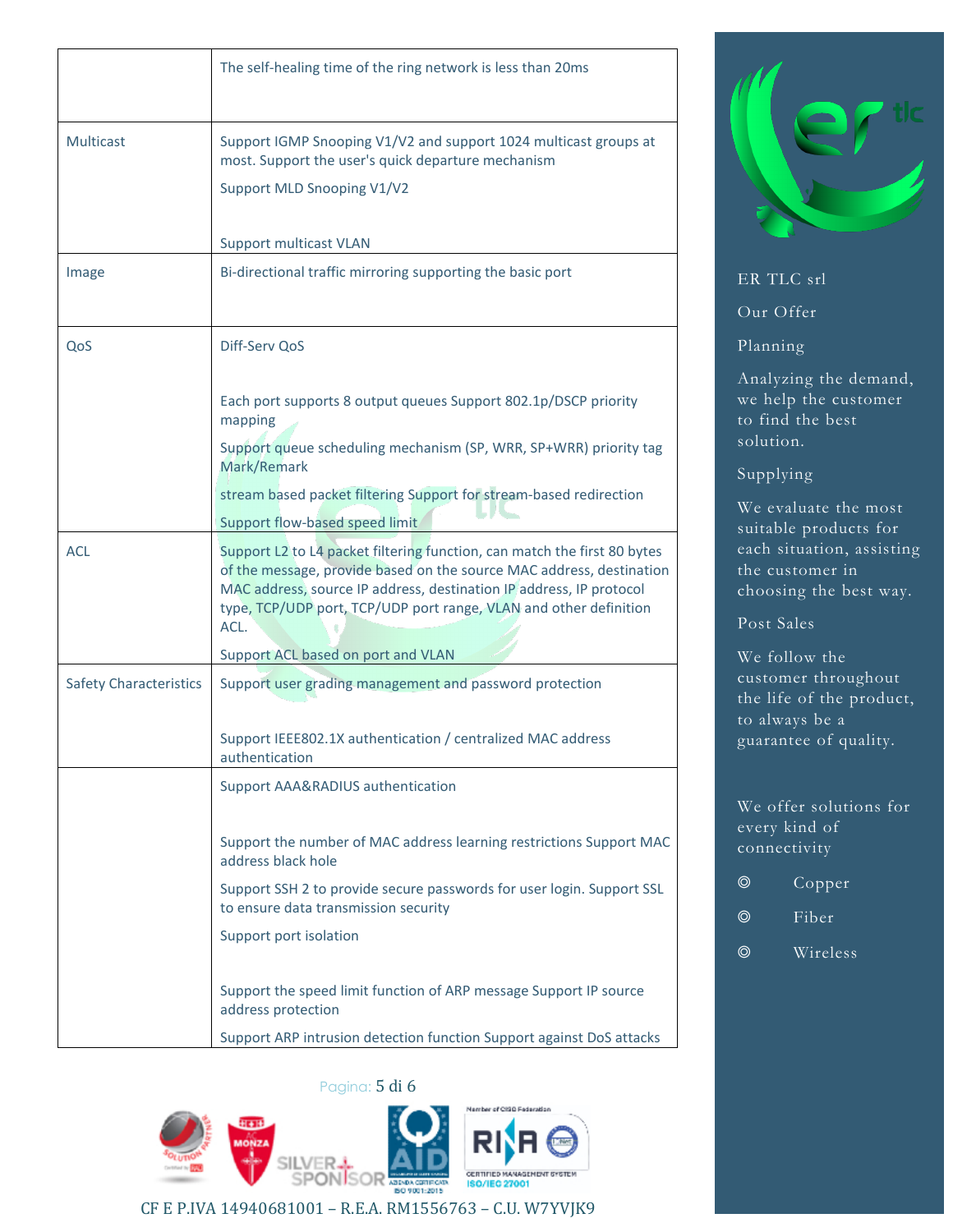|                               | The self-healing time of the ring network is less than 20ms                                                                                                                                                                                                                                          |
|-------------------------------|------------------------------------------------------------------------------------------------------------------------------------------------------------------------------------------------------------------------------------------------------------------------------------------------------|
| <b>Multicast</b>              | Support IGMP Snooping V1/V2 and support 1024 multicast groups at<br>most. Support the user's quick departure mechanism<br>Support MLD Snooping V1/V2                                                                                                                                                 |
|                               | <b>Support multicast VLAN</b>                                                                                                                                                                                                                                                                        |
| Image                         | Bi-directional traffic mirroring supporting the basic port                                                                                                                                                                                                                                           |
| QoS                           | Diff-Serv QoS                                                                                                                                                                                                                                                                                        |
|                               | Each port supports 8 output queues Support 802.1p/DSCP priority<br>mapping                                                                                                                                                                                                                           |
|                               | Support queue scheduling mechanism (SP, WRR, SP+WRR) priority tag<br>Mark/Remark                                                                                                                                                                                                                     |
|                               | stream based packet filtering Support for stream-based redirection                                                                                                                                                                                                                                   |
|                               | Support flow-based speed limit                                                                                                                                                                                                                                                                       |
| <b>ACL</b>                    | Support L2 to L4 packet filtering function, can match the first 80 bytes<br>of the message, provide based on the source MAC address, destination<br>MAC address, source IP address, destination IP address, IP protocol<br>type, TCP/UDP port, TCP/UDP port range, VLAN and other definition<br>ACL. |
|                               | Support ACL based on port and VLAN                                                                                                                                                                                                                                                                   |
| <b>Safety Characteristics</b> | Support user grading management and password protection                                                                                                                                                                                                                                              |
|                               | Support IEEE802.1X authentication / centralized MAC address<br>authentication                                                                                                                                                                                                                        |
|                               | <b>Support AAA&amp;RADIUS authentication</b>                                                                                                                                                                                                                                                         |
|                               | Support the number of MAC address learning restrictions Support MAC<br>address black hole                                                                                                                                                                                                            |
|                               | Support SSH 2 to provide secure passwords for user login. Support SSL<br>to ensure data transmission security                                                                                                                                                                                        |
|                               | Support port isolation                                                                                                                                                                                                                                                                               |
|                               | Support the speed limit function of ARP message Support IP source<br>address protection                                                                                                                                                                                                              |
|                               | Support ARP intrusion detection function Support against DoS attacks                                                                                                                                                                                                                                 |



#### CF E P.IVA 14940681001 – R.E.A. RM1556763 – C.U. W7YVJK9



ER TLC srl

Our Offer

Planning

Analyzing the demand, we help the customer to find the best solution.

#### Supplying

We evaluate the most suitable products for each situation, assisting the customer in choosing the best way.

Post Sales

We follow the customer throughout the life of the product, to always be a guarantee of quality.

- ◎ Copper
- ◎ Fiber
- ◎ Wireless